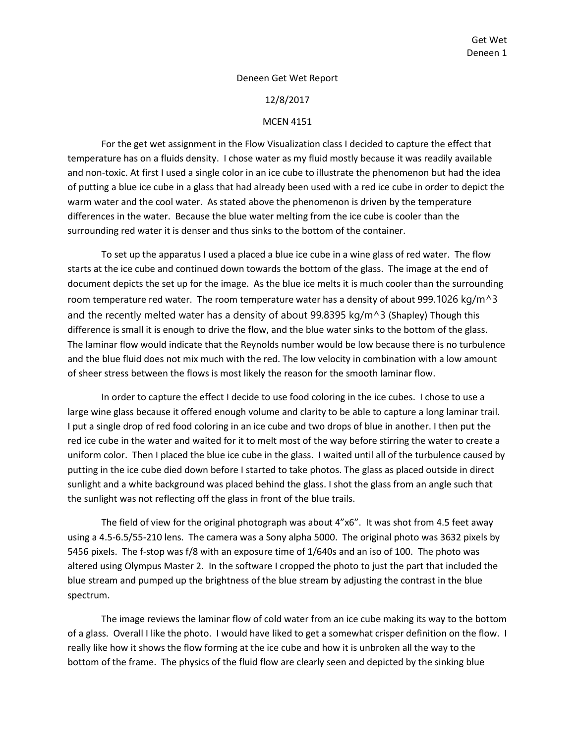## Deneen Get Wet Report

## 12/8/2017

## MCEN 4151

For the get wet assignment in the Flow Visualization class I decided to capture the effect that temperature has on a fluids density. I chose water as my fluid mostly because it was readily available and non-toxic. At first I used a single color in an ice cube to illustrate the phenomenon but had the idea of putting a blue ice cube in a glass that had already been used with a red ice cube in order to depict the warm water and the cool water. As stated above the phenomenon is driven by the temperature differences in the water. Because the blue water melting from the ice cube is cooler than the surrounding red water it is denser and thus sinks to the bottom of the container.

To set up the apparatus I used a placed a blue ice cube in a wine glass of red water. The flow starts at the ice cube and continued down towards the bottom of the glass. The image at the end of document depicts the set up for the image. As the blue ice melts it is much cooler than the surrounding room temperature red water. The room temperature water has a density of about 999.1026 kg/m<sup> $\land$ </sup>3 and the recently melted water has a density of about 99.8395 kg/m<sup> $\land$ </sup>3 (Shapley) Though this difference is small it is enough to drive the flow, and the blue water sinks to the bottom of the glass. The laminar flow would indicate that the Reynolds number would be low because there is no turbulence and the blue fluid does not mix much with the red. The low velocity in combination with a low amount of sheer stress between the flows is most likely the reason for the smooth laminar flow.

In order to capture the effect I decide to use food coloring in the ice cubes. I chose to use a large wine glass because it offered enough volume and clarity to be able to capture a long laminar trail. I put a single drop of red food coloring in an ice cube and two drops of blue in another. I then put the red ice cube in the water and waited for it to melt most of the way before stirring the water to create a uniform color. Then I placed the blue ice cube in the glass. I waited until all of the turbulence caused by putting in the ice cube died down before I started to take photos. The glass as placed outside in direct sunlight and a white background was placed behind the glass. I shot the glass from an angle such that the sunlight was not reflecting off the glass in front of the blue trails.

The field of view for the original photograph was about 4"x6". It was shot from 4.5 feet away using a 4.5-6.5/55-210 lens. The camera was a Sony alpha 5000. The original photo was 3632 pixels by 5456 pixels. The f-stop was f/8 with an exposure time of 1/640s and an iso of 100. The photo was altered using Olympus Master 2. In the software I cropped the photo to just the part that included the blue stream and pumped up the brightness of the blue stream by adjusting the contrast in the blue spectrum.

The image reviews the laminar flow of cold water from an ice cube making its way to the bottom of a glass. Overall I like the photo. I would have liked to get a somewhat crisper definition on the flow. I really like how it shows the flow forming at the ice cube and how it is unbroken all the way to the bottom of the frame. The physics of the fluid flow are clearly seen and depicted by the sinking blue